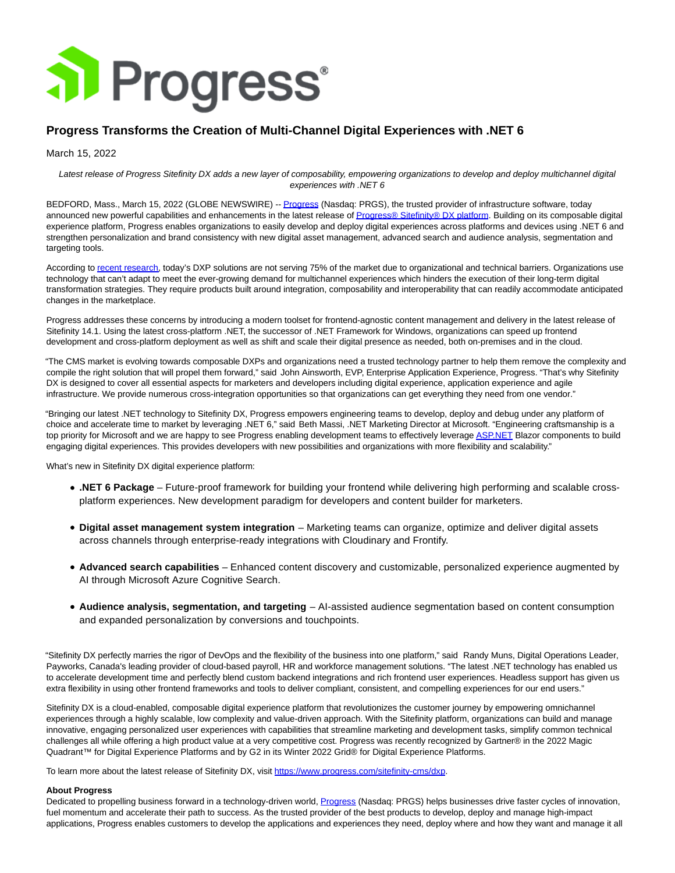

## **Progress Transforms the Creation of Multi-Channel Digital Experiences with .NET 6**

March 15, 2022

Latest release of Progress Sitefinity DX adds a new layer of composability, empowering organizations to develop and deploy multichannel digital experiences with .NET 6

BEDFORD, Mass., March 15, 2022 (GLOBE NEWSWIRE) -[- Progress \(](https://www.globenewswire.com/Tracker?data=_aXnp9fzHlxu4x1vJoHEO6H69BcQwF1GAvmx5LBApXh-ssFODelsHLpK2xWldGi7TUO-0DPQoDqElCd99fWCAg==)Nasdaq: PRGS), the trusted provider of infrastructure software, today announced new powerful capabilities and enhancements in the latest release o[f Progress® Sitefinity® DX platform.](https://www.globenewswire.com/Tracker?data=_aXnp9fzHlxu4x1vJoHEOxJFAuQhs28q39sYXETHfPyn3J83IPRq-6U96K-BezZAO5-7hp9EnoJP5WRlcA1eGovVd757zh8qH218A68u4J2X7c3SpezSG-yo38IYSg_jYD3N1p6UQBBvdKDeGeUnmg==) Building on its composable digital experience platform, Progress enables organizations to easily develop and deploy digital experiences across platforms and devices using .NET 6 and strengthen personalization and brand consistency with new digital asset management, advanced search and audience analysis, segmentation and targeting tools.

According t[o recent research,](https://www.globenewswire.com/Tracker?data=jGiIlqxF_e-1pg8KWNRzncP8aoQPKnlMPrSueHZ1_DhmbBbXXQA_RouDDbPYC5zWukw5kYFydpm9H8t2hMNZvV3iN-jJtpvtOV7sXgVRe20r7d8WMV_jiUDNgrSzwxG3-0eQkR5rNcCh-edd7WBBPX_SVVfdnAzkGb-zrKfcNoo=) today's DXP solutions are not serving 75% of the market due to organizational and technical barriers. Organizations use technology that can't adapt to meet the ever-growing demand for multichannel experiences which hinders the execution of their long-term digital transformation strategies. They require products built around integration, composability and interoperability that can readily accommodate anticipated changes in the marketplace.

Progress addresses these concerns by introducing a modern toolset for frontend-agnostic content management and delivery in the latest release of Sitefinity 14.1. Using the latest cross-platform .NET, the successor of .NET Framework for Windows, organizations can speed up frontend development and cross-platform deployment as well as shift and scale their digital presence as needed, both on-premises and in the cloud.

"The CMS market is evolving towards composable DXPs and organizations need a trusted technology partner to help them remove the complexity and compile the right solution that will propel them forward," said John Ainsworth, EVP, Enterprise Application Experience, Progress. "That's why Sitefinity DX is designed to cover all essential aspects for marketers and developers including digital experience, application experience and agile infrastructure. We provide numerous cross-integration opportunities so that organizations can get everything they need from one vendor."

"Bringing our latest .NET technology to Sitefinity DX, Progress empowers engineering teams to develop, deploy and debug under any platform of choice and accelerate time to market by leveraging .NET 6," said Beth Massi, .NET Marketing Director at Microsoft. "Engineering craftsmanship is a top priority for Microsoft and we are happy to see Progress enabling development teams to effectively leverage **ASP.NET** Blazor components to build engaging digital experiences. This provides developers with new possibilities and organizations with more flexibility and scalability."

What's new in Sitefinity DX digital experience platform:

- **.NET 6 Package** Future-proof framework for building your frontend while delivering high performing and scalable crossplatform experiences. New development paradigm for developers and content builder for marketers.
- **Digital asset management system integration**  Marketing teams can organize, optimize and deliver digital assets across channels through enterprise-ready integrations with Cloudinary and Frontify.
- **Advanced search capabilities** Enhanced content discovery and customizable, personalized experience augmented by AI through Microsoft Azure Cognitive Search.
- **Audience analysis, segmentation, and targeting**  AI-assisted audience segmentation based on content consumption and expanded personalization by conversions and touchpoints.

"Sitefinity DX perfectly marries the rigor of DevOps and the flexibility of the business into one platform," said Randy Muns, Digital Operations Leader, Payworks, Canada's leading provider of cloud-based payroll, HR and workforce management solutions. "The latest .NET technology has enabled us to accelerate development time and perfectly blend custom backend integrations and rich frontend user experiences. Headless support has given us extra flexibility in using other frontend frameworks and tools to deliver compliant, consistent, and compelling experiences for our end users."

Sitefinity DX is a cloud-enabled, composable digital experience platform that revolutionizes the customer journey by empowering omnichannel experiences through a highly scalable, low complexity and value-driven approach. With the Sitefinity platform, organizations can build and manage innovative, engaging personalized user experiences with capabilities that streamline marketing and development tasks, simplify common technical challenges all while offering a high product value at a very competitive cost. Progress was recently recognized by Gartner® in the 2022 Magic Quadrant™ for Digital Experience Platforms and by G2 in its Winter 2022 Grid® for Digital Experience Platforms.

To learn more about the latest release of Sitefinity DX, visi[t https://www.progress.com/sitefinity-cms/dxp.](https://www.globenewswire.com/Tracker?data=vNXwcqRourt8sBAkp3jxvykkGVNkb5-a-2HurXxSc7Ar1q8q6dW754E6p9kSRsPSYKZwTMB_CL2kwlz2MPqmgA_Ofc3oyaZvDiiEU1AkhqFfTqlcu-sK_b-y_El-c5bEiPkXBmZUdEzdCzllxsnjYg==)

## **About Progress**

Dedicated to propelling business forward in a technology-driven world, [Progress \(](https://www.globenewswire.com/Tracker?data=_aXnp9fzHlxu4x1vJoHEO_pk8zv0UuVNW8nYpdMNknefRTrxfSWHO0WGJbCGzr-rQWfLo-Nz94bl3GISTP0EAQ==)Nasdaq: PRGS) helps businesses drive faster cycles of innovation, fuel momentum and accelerate their path to success. As the trusted provider of the best products to develop, deploy and manage high-impact applications, Progress enables customers to develop the applications and experiences they need, deploy where and how they want and manage it all